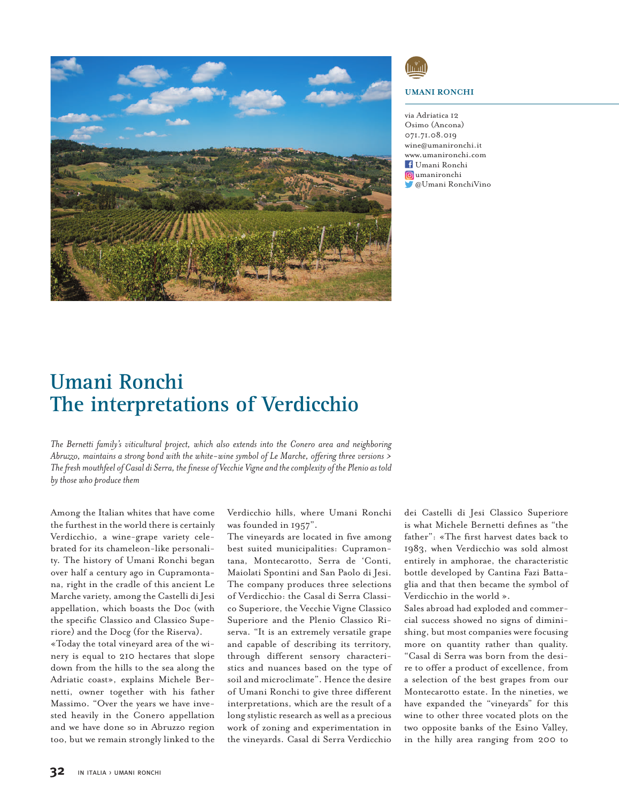

## **UMANI RONCHI**

via Adriatica 12 Osimo (Ancona) 071.71.08.019 wine@umanironchi.it www.umanironchi.com Umani Ronchi umanironchi @Umani RonchiVino

## **Umani Ronchi The interpretations of Verdicchio**

*The Bernetti family's viticultural project, which also extends into the Conero area and neighboring Abruzzo, maintains a strong bond with the white-wine symbol of Le Marche, offering three versions* > The fresh mouthfeel of Casal di Serra, the finesse of Vecchie Vigne and the complexity of the Plenio as told *by those who produce them*

Among the Italian whites that have come the furthest in the world there is certainly Verdicchio, a wine-grape variety celebrated for its chameleon-like personality. The history of Umani Ronchi began over half a century ago in Cupramontana, right in the cradle of this ancient Le Marche variety, among the Castelli di Jesi appellation, which boasts the Doc (with the specific Classico and Classico Superiore) and the Docg (for the Riserva). «Today the total vineyard area of the wi-

nery is equal to 210 hectares that slope down from the hills to the sea along the Adriatic coast», explains Michele Bernetti, owner together with his father Massimo. "Over the years we have invested heavily in the Conero appellation and we have done so in Abruzzo region too, but we remain strongly linked to the Verdicchio hills, where Umani Ronchi was founded in 1957".

The vineyards are located in five among best suited municipalities: Cupramontana, Montecarotto, Serra de 'Conti, Maiolati Spontini and San Paolo di Jesi. The company produces three selections of Verdicchio: the Casal di Serra Classico Superiore, the Vecchie Vigne Classico Superiore and the Plenio Classico Riserva. "It is an extremely versatile grape and capable of describing its territory, through different sensory characteristics and nuances based on the type of soil and microclimate". Hence the desire of Umani Ronchi to give three different interpretations, which are the result of a long stylistic research as well as a precious work of zoning and experimentation in the vineyards. Casal di Serra Verdicchio

dei Castelli di Jesi Classico Superiore is what Michele Bernetti defines as "the father": «The first harvest dates back to 1983, when Verdicchio was sold almost entirely in amphorae, the characteristic bottle developed by Cantina Fazi Battaglia and that then became the symbol of Verdicchio in the world ».

Sales abroad had exploded and commercial success showed no signs of diminishing, but most companies were focusing more on quantity rather than quality. "Casal di Serra was born from the desire to offer a product of excellence, from a selection of the best grapes from our Montecarotto estate. In the nineties, we have expanded the "vineyards" for this wine to other three vocated plots on the two opposite banks of the Esino Valley, in the hilly area ranging from 200 to